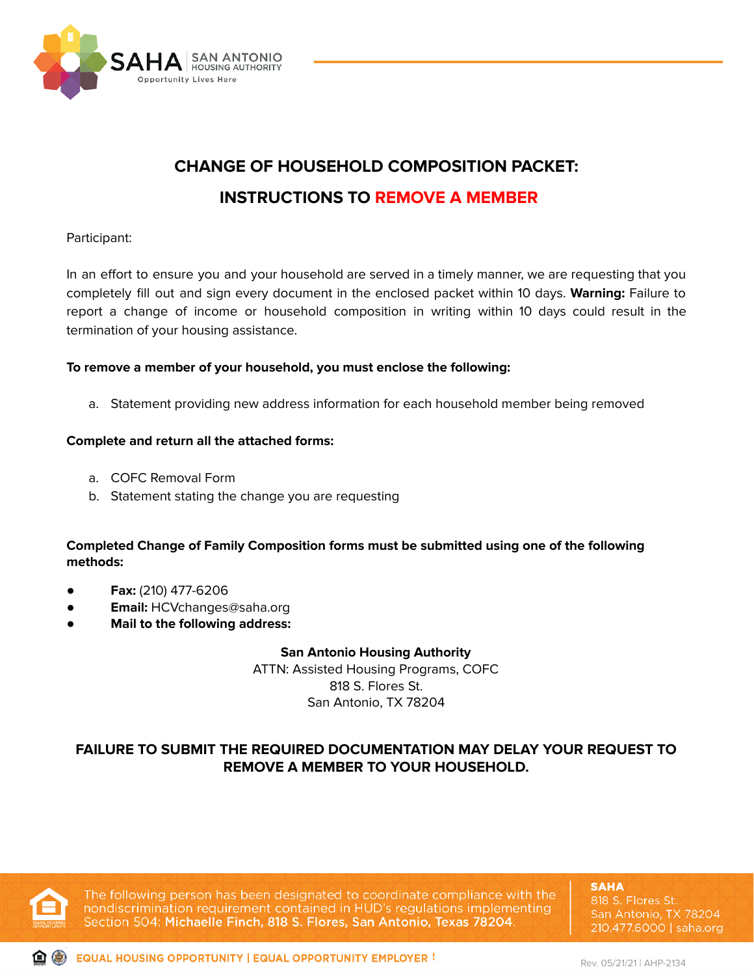

# **CHANGE OF HOUSEHOLD COMPOSITION PACKET: INSTRUCTIONS TO REMOVE A MEMBER**

## Participant:

In an effort to ensure you and your household are served in a timely manner, we are requesting that you completely fill out and sign every document in the enclosed packet within 10 days. **Warning:** Failure to report a change of income or household composition in writing within 10 days could result in the termination of your housing assistance.

## **To remove a member of your household, you must enclose the following:**

a. Statement providing new address information for each household member being removed

## **Complete and return all the attached forms:**

- a. COFC Removal Form
- b. Statement stating the change you are requesting

# **Completed Change of Family Composition forms must be submitted using one of the following methods:**

- **● Fax:** (210) 477-6206
- **Email:** HCVchanges@saha.org
- **● Mail to the following address:**

#### **San Antonio Housing Authority**

ATTN: Assisted Housing Programs, COFC 818 S. Flores St. San Antonio, TX 78204

# **FAILURE TO SUBMIT THE REQUIRED DOCUMENTATION MAY DELAY YOUR REQUEST TO REMOVE A MEMBER TO YOUR HOUSEHOLD.**



The following person has been designated to coordinate compliance with the nondiscrimination requirement contained in HUD's regulations implementing Section 504: Michaelle Finch, 818 S. Flores, San Antonio, Texas 78204.

**SAHA** 818 S. Flores St. San Antonio, TX 78204 210.477.6000 | saha.org